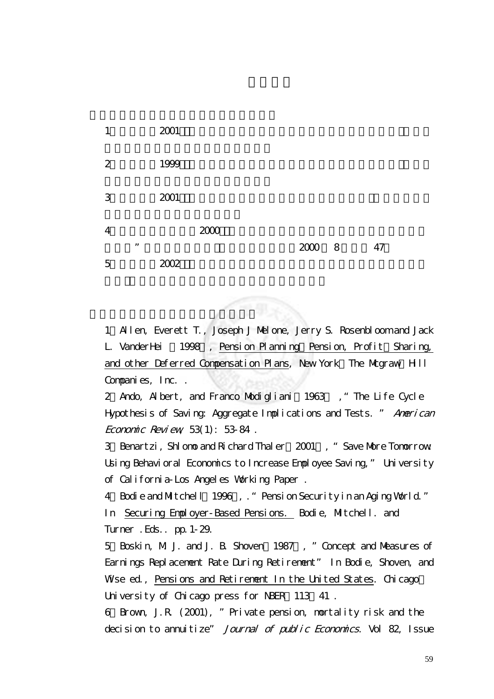| 1              |    | 2001 |      |        |    |  |
|----------------|----|------|------|--------|----|--|
| 2              |    | 1999 |      |        |    |  |
| 3              |    | 2001 |      |        |    |  |
| $\overline{4}$ |    |      | 2000 |        |    |  |
|                | ,, |      |      | 2000 8 | 47 |  |
| $\overline{5}$ |    | 2002 |      |        |    |  |

二、英文參考文獻(按字母順序排序)

1、Allen, Everett T., Joseph J Melone, Jerry S. Rosenbloom and Jack L. VanderHei 1998 , Pension Planning Pension, Profit Sharing, and other Deferred Compensation Plans, New York: The Magraw-Hill Companies, Inc. .

2 Ando, Albert, and Franco Modigliani 1963, "The Life Cycle Hypothesis of Saving: Aggregate Implications and Tests. " American Economic Review,  $53(1)$ :  $5384$ .

3 Benartzi, Shlomo and Richard Thaler 2001, "Save More Tomorrow" Using Behavioral Economics to Increase Employee Saving," University of California-Los Angeles Working Paper .

4 Bodie and Mitchell 1996, . "Pension Security in an Aging World." In Securing Employer-Based Pensions. Bodie, Mitchell. and Turner .Eds.. pp.1-29.

5、Boskin, M. J. and J. B. Shoven(1987), "Concept and Measures of Earnings Replacement Rate During Retirement" In Bodie, Shoven, and Wheeed, Pensions and Retirement In the United States. Chicago: University of Chicago press for NBER 113 41.

6、Brown, J.R. (2001), "Private pension, mortality risk and the decision to annuitize" Journal of public Economics. Vol 82, Issue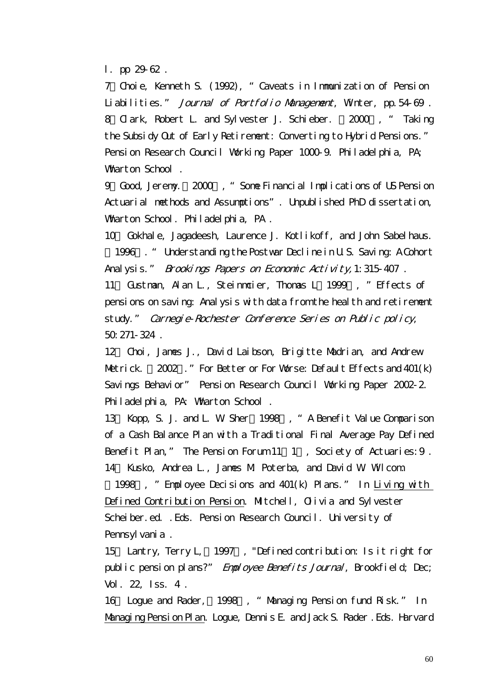l. pp 29-62 .

7、Choie, Kenneth S. (1992), "Caveats in Immunization of Pension Liabilities." Journal of Portfolio Management, Winter, pp. 54-69. 8 Clark, Robert L. and Sylvester J. Schieber. 2000, "Taking the Subsidy Out of Early Retirement: Converting to Hybrid Pensions." Pension Research Council Working Paper 1000-9. Philadelphia, PA; Wharton School.

9、Good, Jeremy.(2000), "Some Financial Implications of US Pension Actuarial methods and Assumptions". Unpublished PhD dissertation, Wharton School. Philadelphia, PA.

10、 Gokhale, Jagadeesh, Laurence J. Kotlikoff, and John Sabelhaus. (1996). " Understanding the Postwar Decline in U.S. Saving: A Cohort

Analysis." Brookings Papers on Economic Activity, 1:315-407.

11 Gustman, Alan L., Steinmoier, Thomas L. 1999, "Effects of pensions on saving: Analysis with data from the health and retirement study." Carnegie-Rochester Conference Series on Public policy, 50:271-324 .

12、 Choi, James J., David Laibson, Brigitte Madrian, and Andrew Metrick. 2002." For Better or For Worse: Default Effects and 401(k) Savings Behavior" Pension Research Council Working Paper 2002-2. Philadelphia, PA: Wharton School .

13 Kopp, S. J. and L. W. Sher(1998), "A Benefit Value Comparison of a Cash Balance Plan with a Traditional Final Average Pay Defined Benefit Plan," The Pension Forum  $11\quad 1$ , Society of Actuaries: 9. 14、 Kusko, Andrea L., James M. Poterba, and David W. Wilcom.

1998 , "Employee Decisions and 401(k) Plans." In Living with Defined Contribution Pension. Mitchell, Olivia and Sylvester Scheiber.ed. .Eds. Pension Research Council. University of Pennsylvania.

15 Lantry, Terry L, 1997, "Defined contribution: Is it right for public pension plans?" Employee Benefits Journal, Brookfield; Dec; Vol. 22, Iss. 4 .

16 Logue and Rader, 1998, "Managing Pension fund Risk." In Managing Pension Plan. Logue, Dennis E. and Jack S. Rader .Eds. Harvard